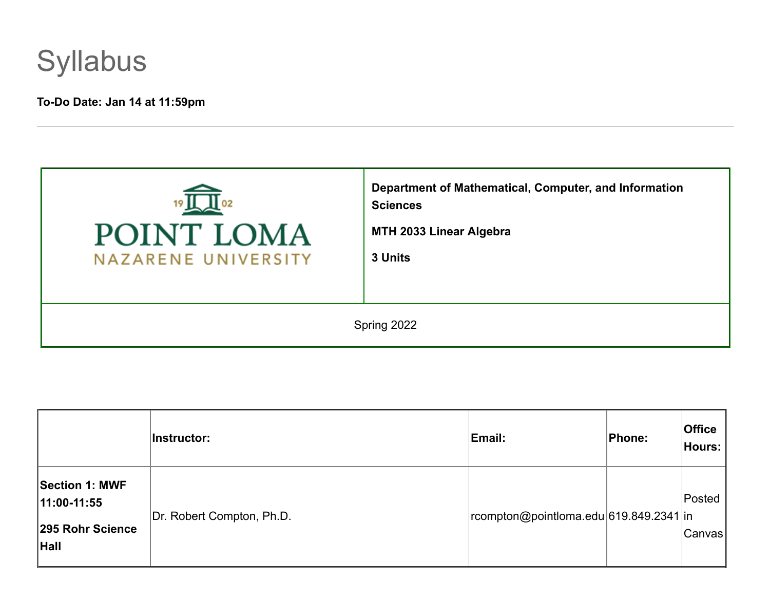

# **To-Do Date: Jan 14 at 11:59pm**

| POINT LOMA<br>NAZARENE UNIVERSITY | Department of Mathematical, Computer, and Information<br><b>Sciences</b><br>MTH 2033 Linear Algebra<br>3 Units |  |
|-----------------------------------|----------------------------------------------------------------------------------------------------------------|--|
| Spring 2022                       |                                                                                                                |  |

|                                                                  | Instructor:               | Email:                                 | Phone: | <b>Office</b><br>Hours: |
|------------------------------------------------------------------|---------------------------|----------------------------------------|--------|-------------------------|
| <b>Section 1: MWF</b><br>11:00-11:55<br>295 Rohr Science<br>Hall | Dr. Robert Compton, Ph.D. | rcompton@pointloma.edu 619.849.2341 in |        | Posted<br> Canvas       |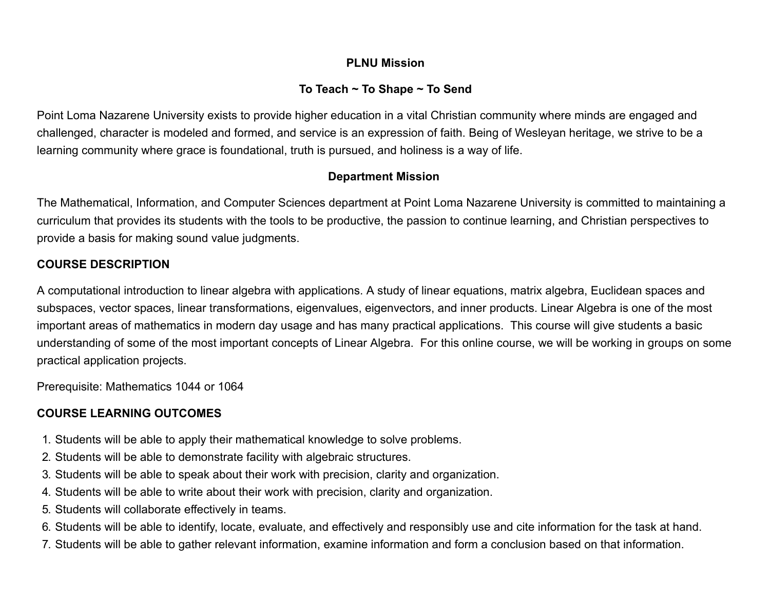# **PLNU Mission**

# **To Teach ~ To Shape ~ To Send**

Point Loma Nazarene University exists to provide higher education in a vital Christian community where minds are engaged and challenged, character is modeled and formed, and service is an expression of faith. Being of Wesleyan heritage, we strive to be a learning community where grace is foundational, truth is pursued, and holiness is a way of life.

#### **Department Mission**

The Mathematical, Information, and Computer Sciences department at Point Loma Nazarene University is committed to maintaining a curriculum that provides its students with the tools to be productive, the passion to continue learning, and Christian perspectives to provide a basis for making sound value judgments.

# **COURSE DESCRIPTION**

A computational introduction to linear algebra with applications. A study of linear equations, matrix algebra, Euclidean spaces and subspaces, vector spaces, linear transformations, eigenvalues, eigenvectors, and inner products. Linear Algebra is one of the most important areas of mathematics in modern day usage and has many practical applications. This course will give students a basic understanding of some of the most important concepts of Linear Algebra. For this online course, we will be working in groups on some practical application projects.

Prerequisite: Mathematics 1044 or 1064

# **COURSE LEARNING OUTCOMES**

- 1. Students will be able to apply their mathematical knowledge to solve problems.
- 2. Students will be able to demonstrate facility with algebraic structures.
- 3. Students will be able to speak about their work with precision, clarity and organization.
- 4. Students will be able to write about their work with precision, clarity and organization.
- 5. Students will collaborate effectively in teams.
- 6. Students will be able to identify, locate, evaluate, and effectively and responsibly use and cite information for the task at hand.
- 7. Students will be able to gather relevant information, examine information and form a conclusion based on that information.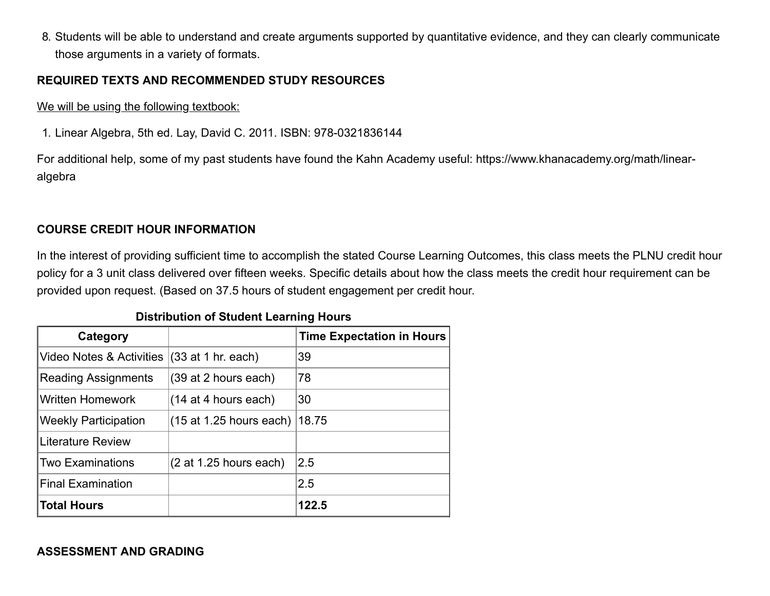8. Students will be able to understand and create arguments supported by quantitative evidence, and they can clearly communicate those arguments in a variety of formats.

#### **REQUIRED TEXTS AND RECOMMENDED STUDY RESOURCES**

We will be using the following textbook:

1. Linear Algebra, 5th ed. Lay, David C. 2011. ISBN: 978-0321836144

For additional help, some of my past students have found the Kahn Academy useful: https://www.khanacademy.org/math/linearalgebra

# **COURSE CREDIT HOUR INFORMATION**

In the interest of providing sufficient time to accomplish the stated Course Learning Outcomes, this class meets the PLNU credit hour policy for a 3 unit class delivered over fifteen weeks. Specific details about how the class meets the credit hour requirement can be provided upon request. (Based on 37.5 hours of student engagement per credit hour.

#### **Distribution of Student Learning Hours**

| Category                    |                           | <b>Time Expectation in Hours</b> |
|-----------------------------|---------------------------|----------------------------------|
| Video Notes & Activities    | $(33$ at 1 hr. each)      | 39                               |
| <b>Reading Assignments</b>  | $(39$ at 2 hours each)    | 78                               |
| <b>Written Homework</b>     | $(14$ at 4 hours each)    | 30                               |
| <b>Weekly Participation</b> | $(15$ at 1.25 hours each) | 18.75                            |
| <b>Literature Review</b>    |                           |                                  |
| Two Examinations            | $(2$ at 1.25 hours each)  | 2.5                              |
| <b>Final Examination</b>    |                           | 2.5                              |
| <b>Total Hours</b>          |                           | 122.5                            |

**ASSESSMENT AND GRADING**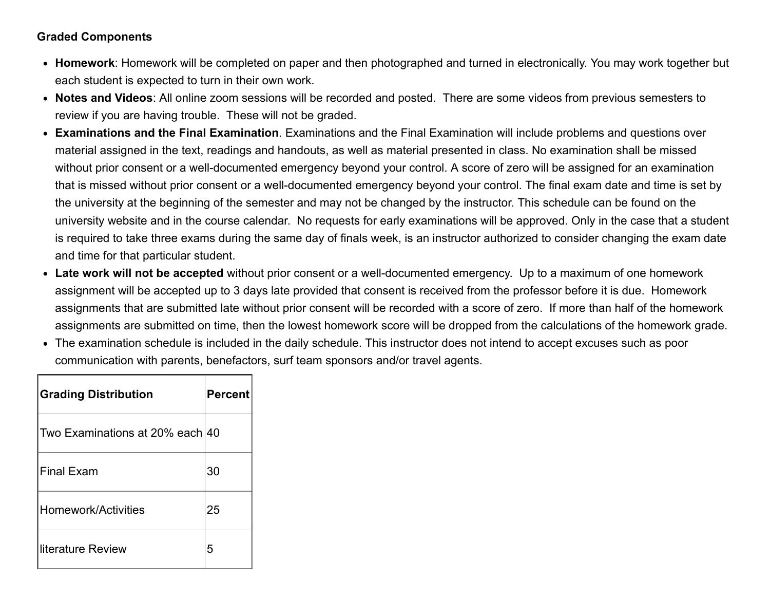# **Graded Components**

- **Homework**: Homework will be completed on paper and then photographed and turned in electronically. You may work together but each student is expected to turn in their own work.
- **Notes and Videos**: All online zoom sessions will be recorded and posted. There are some videos from previous semesters to review if you are having trouble. These will not be graded.
- **Examinations and the Final Examination**. Examinations and the Final Examination will include problems and questions over material assigned in the text, readings and handouts, as well as material presented in class. No examination shall be missed without prior consent or a well-documented emergency beyond your control. A score of zero will be assigned for an examination that is missed without prior consent or a well-documented emergency beyond your control. The final exam date and time is set by the university at the beginning of the semester and may not be changed by the instructor. This schedule can be found on the university website and in the course calendar. No requests for early examinations will be approved. Only in the case that a student is required to take three exams during the same day of finals week, is an instructor authorized to consider changing the exam date and time for that particular student.
- **Late work will not be accepted** without prior consent or a well-documented emergency. Up to a maximum of one homework assignment will be accepted up to 3 days late provided that consent is received from the professor before it is due. Homework assignments that are submitted late without prior consent will be recorded with a score of zero. If more than half of the homework assignments are submitted on time, then the lowest homework score will be dropped from the calculations of the homework grade.
- The examination schedule is included in the daily schedule. This instructor does not intend to accept excuses such as poor communication with parents, benefactors, surf team sponsors and/or travel agents.

| <b>Grading Distribution</b>     | <b>Percent</b> |
|---------------------------------|----------------|
| Two Examinations at 20% each 40 |                |
| <b>Final Exam</b>               | 30             |
| Homework/Activities             | 25             |
| Iliterature Review              | 5              |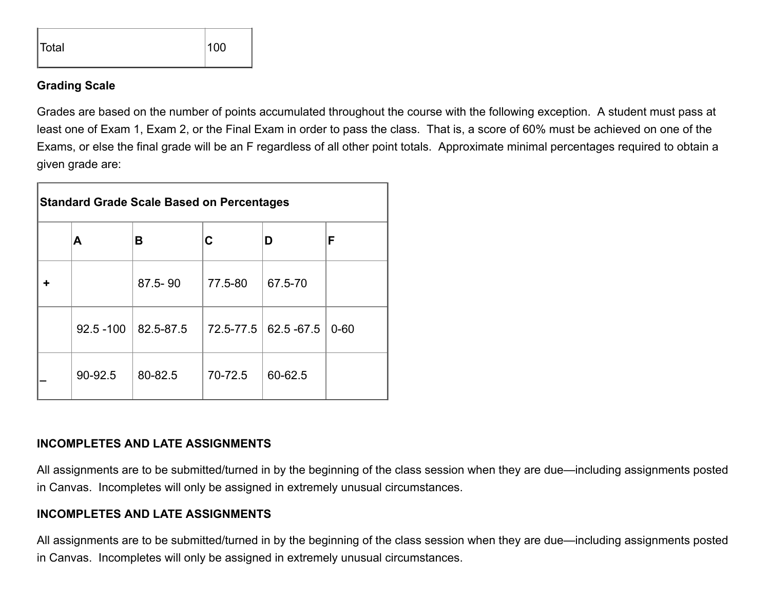

#### **Grading Scale**

Grades are based on the number of points accumulated throughout the course with the following exception. A student must pass at least one of Exam 1, Exam 2, or the Final Exam in order to pass the class. That is, a score of 60% must be achieved on one of the Exams, or else the final grade will be an F regardless of all other point totals. Approximate minimal percentages required to obtain a given grade are:

| <b>Standard Grade Scale Based on Percentages</b> |              |           |           |                 |          |
|--------------------------------------------------|--------------|-----------|-----------|-----------------|----------|
|                                                  | Α            | В         | С         | D               | F        |
|                                                  |              | 87.5-90   | 77.5-80   | 67.5-70         |          |
|                                                  | $92.5 - 100$ | 82.5-87.5 | 72.5-77.5 | $ 62.5 - 67.5 $ | $0 - 60$ |
|                                                  | 90-92.5      | 80-82.5   | 70-72.5   | 60-62.5         |          |

#### **INCOMPLETES AND LATE ASSIGNMENTS**

All assignments are to be submitted/turned in by the beginning of the class session when they are due—including assignments posted in Canvas. Incompletes will only be assigned in extremely unusual circumstances.

#### **INCOMPLETES AND LATE ASSIGNMENTS**

All assignments are to be submitted/turned in by the beginning of the class session when they are due—including assignments posted in Canvas. Incompletes will only be assigned in extremely unusual circumstances.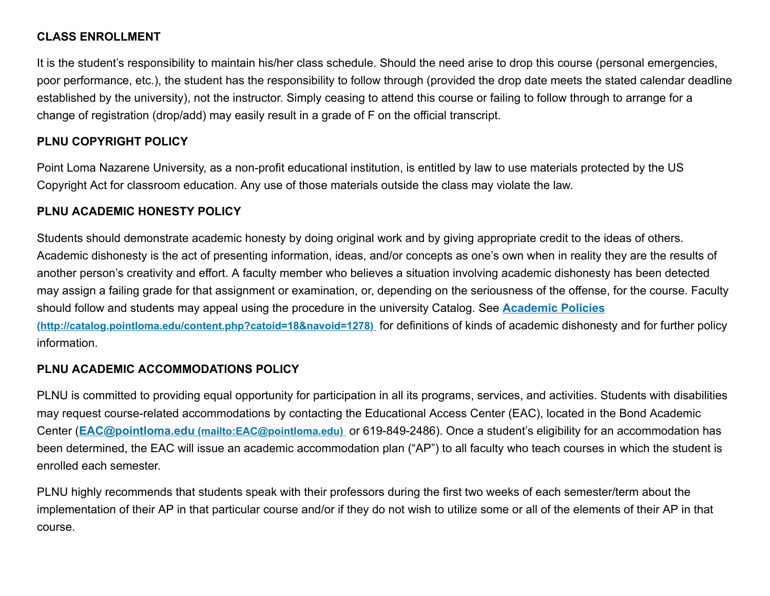# **CLASS ENROLLMENT**

It is the student's responsibility to maintain his/her class schedule. Should the need arise to drop this course (personal emergencies, poor performance, etc.), the student has the responsibility to follow through (provided the drop date meets the stated calendar deadline established by the university), not the instructor. Simply ceasing to attend this course or failing to follow through to arrange for a change of registration (drop/add) may easily result in a grade of F on the official transcript.

# **PLNU COPYRIGHT POLICY**

Point Loma Nazarene University, as a non-profit educational institution, is entitled by law to use materials protected by the US Copyright Act for classroom education. Any use of those materials outside the class may violate the law.

# **PLNU ACADEMIC HONESTY POLICY**

Students should demonstrate academic honesty by doing original work and by giving appropriate credit to the ideas of others. Academic dishonesty is the act of presenting information, ideas, and/or concepts as one's own when in reality they are the results of another person's creativity and effort. A faculty member who believes a situation involving academic dishonesty has been detected may assign a failing grade for that assignment or examination, or, depending on the seriousness of the offense, for the course. Faculty [should follow and students may appeal using the procedure in the university Catalog. See](http://catalog.pointloma.edu/content.php?catoid=18&navoid=1278) **Academic Policies (http://catalog.pointloma.edu/content.php?catoid=18&navoid=1278)** for definitions of kinds of academic dishonesty and for further policy information.

# **PLNU ACADEMIC ACCOMMODATIONS POLICY**

PLNU is committed to providing equal opportunity for participation in all its programs, services, and activities. Students with disabilities may request course-related accommodations by contacting the Educational Access Center (EAC), located in the Bond Academic Center (**EAC@pointloma.edu [\(mailto:EAC@pointloma.edu\)](mailto:EAC@pointloma.edu)** or 619-849-2486). Once a student's eligibility for an accommodation has been determined, the EAC will issue an academic accommodation plan ("AP") to all faculty who teach courses in which the student is enrolled each semester.

PLNU highly recommends that students speak with their professors during the first two weeks of each semester/term about the implementation of their AP in that particular course and/or if they do not wish to utilize some or all of the elements of their AP in that course.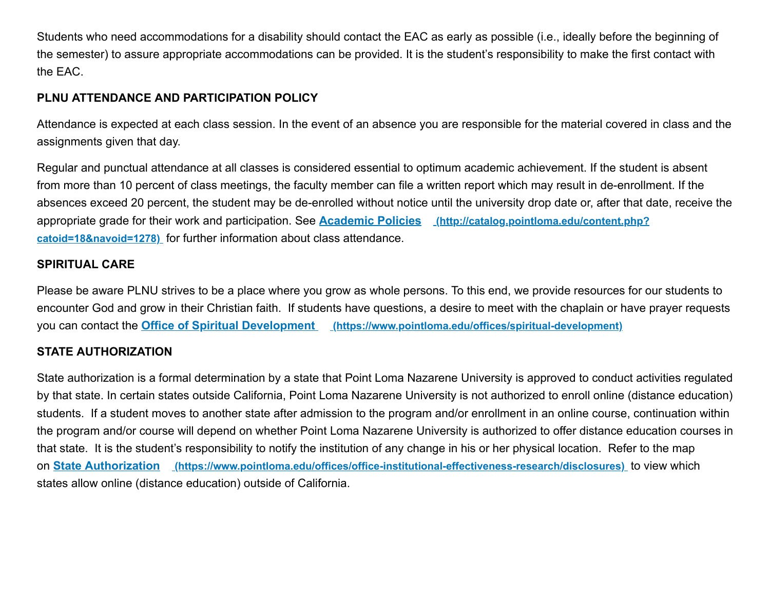Students who need accommodations for a disability should contact the EAC as early as possible (i.e., ideally before the beginning of the semester) to assure appropriate accommodations can be provided. It is the student's responsibility to make the first contact with the EAC.

# **PLNU ATTENDANCE AND PARTICIPATION POLICY**

Attendance is expected at each class session. In the event of an absence you are responsible for the material covered in class and the assignments given that day.

Regular and punctual attendance at all classes is considered essential to optimum academic achievement. If the student is absent from more than 10 percent of class meetings, the faculty member can file a written report which may result in de-enrollment. If the absences exceed 20 percent, the student may be de-enrolled without notice until the university drop date or, after that date, receive the [appropriate grade for their work and participation. See](http://catalog.pointloma.edu/content.php?catoid=18&navoid=1278) **Academic Policies (http://catalog.pointloma.edu/content.php? catoid=18&navoid=1278)** for further information about class attendance.

#### **SPIRITUAL CARE**

Please be aware PLNU strives to be a place where you grow as whole persons. To this end, we provide resources for our students to encounter God and grow in their Christian faith. If students have questions, a desire to meet with the chaplain or have prayer requests you can contact the **Office of Spiritual Development [\(https://www.pointloma.edu/offices/spiritual-development\)](https://www.pointloma.edu/offices/spiritual-development)**

#### **STATE AUTHORIZATION**

State authorization is a formal determination by a state that Point Loma Nazarene University is approved to conduct activities regulated by that state. In certain states outside California, Point Loma Nazarene University is not authorized to enroll online (distance education) students. If a student moves to another state after admission to the program and/or enrollment in an online course, continuation within the program and/or course will depend on whether Point Loma Nazarene University is authorized to offer distance education courses in that state. It is the student's responsibility to notify the institution of any change in his or her physical location. Refer to the map on **State Authorization [\(https://www.pointloma.edu/offices/office-institutional-effectiveness-research/disclosures\)](https://www.pointloma.edu/offices/office-institutional-effectiveness-research/disclosures)** to view which states allow online (distance education) outside of California.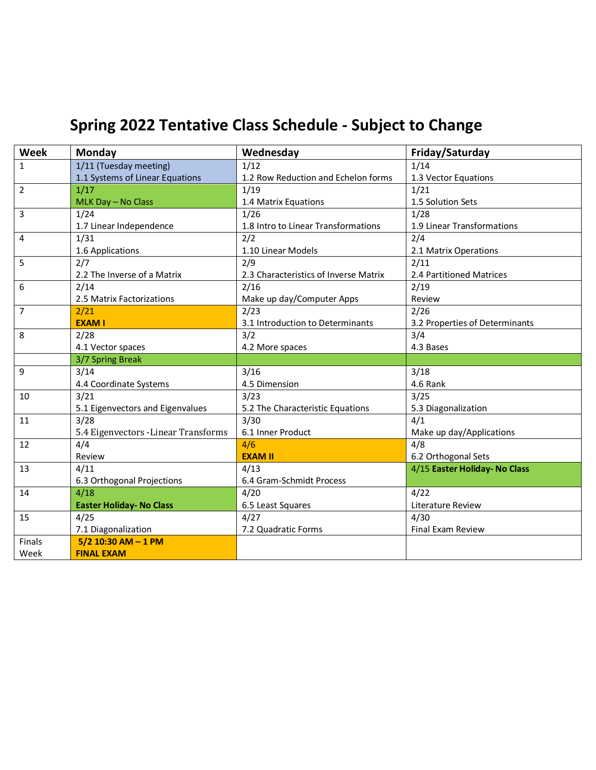# **Spring 2022 Tentative Class Schedule - Subject to Change**

| Week           | Monday                               | Wednesday                             | Friday/Saturday                |
|----------------|--------------------------------------|---------------------------------------|--------------------------------|
| $\mathbf{1}$   | 1/11 (Tuesday meeting)               | 1/12                                  | 1/14                           |
|                | 1.1 Systems of Linear Equations      | 1.2 Row Reduction and Echelon forms   | 1.3 Vector Equations           |
| $\overline{2}$ | 1/17                                 | 1/19                                  | 1/21                           |
|                | MLK Day - No Class                   | 1.4 Matrix Equations                  | 1.5 Solution Sets              |
| $\overline{3}$ | 1/24                                 | 1/26                                  | 1/28                           |
|                | 1.7 Linear Independence              | 1.8 Intro to Linear Transformations   | 1.9 Linear Transformations     |
| $\overline{4}$ | 1/31                                 | 2/2                                   | 2/4                            |
|                | 1.6 Applications                     | 1.10 Linear Models                    | 2.1 Matrix Operations          |
| 5              | 2/7                                  | 2/9                                   | 2/11                           |
|                | 2.2 The Inverse of a Matrix          | 2.3 Characteristics of Inverse Matrix | 2.4 Partitioned Matrices       |
| 6              | 2/14                                 | 2/16                                  | 2/19                           |
|                | 2.5 Matrix Factorizations            | Make up day/Computer Apps             | Review                         |
| $\overline{7}$ | 2/21                                 | 2/23                                  | 2/26                           |
|                | <b>EXAM I</b>                        | 3.1 Introduction to Determinants      | 3.2 Properties of Determinants |
| 8              | 2/28                                 | 3/2                                   | 3/4                            |
|                | 4.1 Vector spaces                    | 4.2 More spaces                       | 4.3 Bases                      |
|                | 3/7 Spring Break                     |                                       |                                |
| $\overline{9}$ | 3/14                                 | 3/16                                  | 3/18                           |
|                | 4.4 Coordinate Systems               | 4.5 Dimension                         | 4.6 Rank                       |
| 10             | 3/21                                 | 3/23                                  | 3/25                           |
|                | 5.1 Eigenvectors and Eigenvalues     | 5.2 The Characteristic Equations      | 5.3 Diagonalization            |
| 11             | 3/28                                 | 3/30                                  | 4/1                            |
|                | 5.4 Eigenvectors - Linear Transforms | 6.1 Inner Product                     | Make up day/Applications       |
| 12             | 4/4                                  | 4/6                                   | 4/8                            |
|                | Review                               | <b>EXAM II</b>                        | 6.2 Orthogonal Sets            |
| 13             | 4/11                                 | 4/13                                  | 4/15 Easter Holiday- No Class  |
|                | 6.3 Orthogonal Projections           | 6.4 Gram-Schmidt Process              |                                |
| 14             | 4/18                                 | 4/20                                  | 4/22                           |
|                | <b>Easter Holiday- No Class</b>      | 6.5 Least Squares                     | Literature Review              |
| 15             | 4/25                                 | 4/27                                  | 4/30                           |
|                | 7.1 Diagonalization                  | 7.2 Quadratic Forms                   | <b>Final Exam Review</b>       |
| Finals         | $5/2$ 10:30 AM - 1 PM                |                                       |                                |
| Week           | <b>FINAL EXAM</b>                    |                                       |                                |